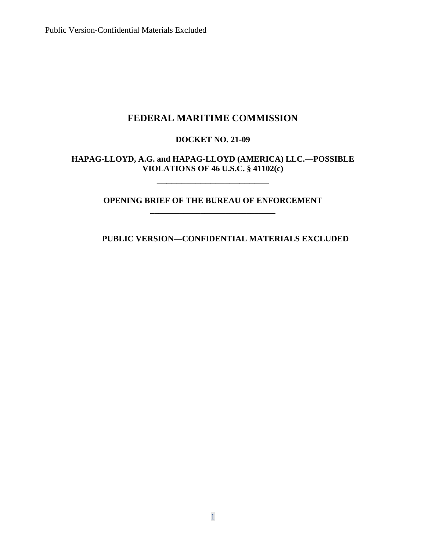## **FEDERAL MARITIME COMMISSION**

## **DOCKET NO. 21-09**

## **HAPAG-LLOYD, A.G. and HAPAG-LLOYD (AMERICA) LLC.—POSSIBLE VIOLATIONS OF 46 U.S.C. § 41102(c)**

### **OPENING BRIEF OF THE BUREAU OF ENFORCEMENT \_\_\_\_\_\_\_\_\_\_\_\_\_\_\_\_\_\_\_\_\_\_\_\_\_\_\_\_\_\_**

\_\_\_\_\_\_\_\_\_\_\_\_\_\_\_\_\_\_\_\_\_\_\_

## **PUBLIC VERSION—CONFIDENTIAL MATERIALS EXCLUDED**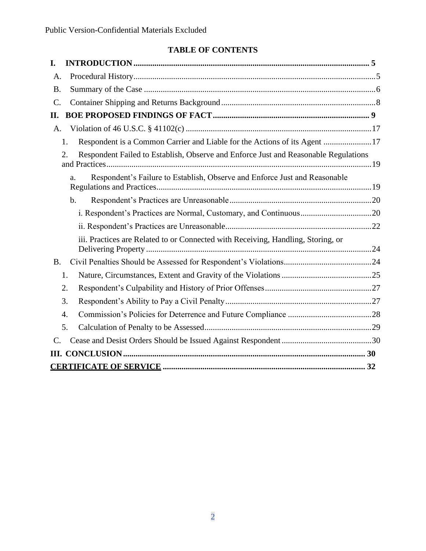# **TABLE OF CONTENTS**

| I.                                                                                        |  |
|-------------------------------------------------------------------------------------------|--|
| A.                                                                                        |  |
| <b>B.</b>                                                                                 |  |
| $\mathcal{C}$ .                                                                           |  |
| П.                                                                                        |  |
| A.                                                                                        |  |
| Respondent is a Common Carrier and Liable for the Actions of its Agent 17<br>1.           |  |
| Respondent Failed to Establish, Observe and Enforce Just and Reasonable Regulations<br>2. |  |
| Respondent's Failure to Establish, Observe and Enforce Just and Reasonable<br>a.          |  |
| $\mathbf b$ .                                                                             |  |
|                                                                                           |  |
|                                                                                           |  |
| iii. Practices are Related to or Connected with Receiving, Handling, Storing, or          |  |
| <b>B.</b>                                                                                 |  |
| 1.                                                                                        |  |
| 2.                                                                                        |  |
| 3.                                                                                        |  |
| $\overline{4}$ .                                                                          |  |
| 5.                                                                                        |  |
| $\mathcal{C}$ .                                                                           |  |
|                                                                                           |  |
|                                                                                           |  |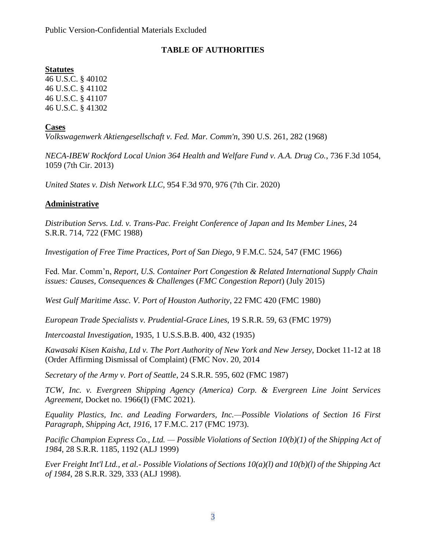## **TABLE OF AUTHORITIES**

## **Statutes**

46 U.S.C. § 40102 46 U.S.C. § 41102 46 U.S.C. § 41107 46 U.S.C. § 41302

## **Cases**

*Volkswagenwerk Aktiengesellschaft v. Fed. Mar. Comm'n*, 390 U.S. 261, 282 (1968)

*NECA-IBEW Rockford Local Union 364 Health and Welfare Fund v. A.A. Drug Co.*, 736 F.3d 1054, 1059 (7th Cir. 2013)

*United States v. Dish Network LLC*, 954 F.3d 970, 976 (7th Cir. 2020)

## **Administrative**

*Distribution Servs. Ltd. v. Trans-Pac. Freight Conference of Japan and Its Member Lines*, 24 S.R.R. 714, 722 (FMC 1988)

*Investigation of Free Time Practices, Port of San Diego*, 9 F.M.C. 524, 547 (FMC 1966)

Fed. Mar. Comm'n, *Report*, *U.S. Container Port Congestion & Related International Supply Chain issues: Causes, Consequences & Challenges* (*FMC Congestion Report*) (July 2015)

*West Gulf Maritime Assc. V. Port of Houston Authority*, 22 FMC 420 (FMC 1980)

*European Trade Specialists v. Prudential-Grace Lines*, 19 S.R.R. 59, 63 (FMC 1979)

*Intercoastal Investigation*, 1935, 1 U.S.S.B.B. 400, 432 (1935)

*Kawasaki Kisen Kaisha, Ltd v. The Port Authority of New York and New Jersey*, Docket 11-12 at 18 (Order Affirming Dismissal of Complaint) (FMC Nov. 20, 2014

*Secretary of the Army v. Port of Seattle*, 24 S.R.R. 595, 602 (FMC 1987)

*TCW, Inc. v. Evergreen Shipping Agency (America) Corp. & Evergreen Line Joint Services Agreement*, Docket no. 1966(I) (FMC 2021).

*Equality Plastics, Inc. and Leading Forwarders, Inc.—Possible Violations of Section 16 First Paragraph, Shipping Act, 1916,* 17 F.M.C. 217 (FMC 1973).

*Pacific Champion Express Co., Ltd. — Possible Violations of Section 10(b)(1) of the Shipping Act of 1984*, 28 S.R.R. 1185, 1192 (ALJ 1999)

*Ever Freight Int'l Ltd., et al.- Possible Violations of Sections 10(a)(l) and 10(b)(l) of the Shipping Act of 1984*, 28 S.R.R. 329, 333 (ALJ 1998).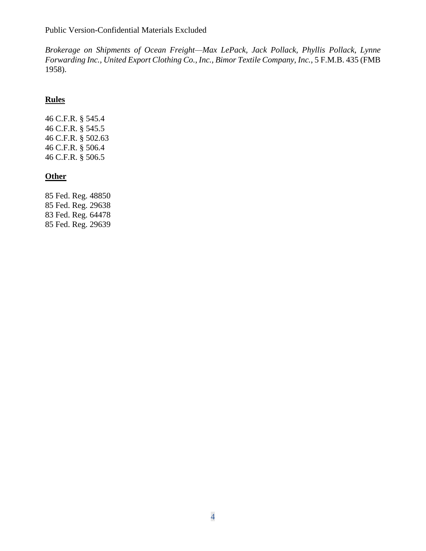*Brokerage on Shipments of Ocean Freight—Max LePack, Jack Pollack, Phyllis Pollack, Lynne Forwarding Inc., United Export Clothing Co., Inc., Bimor Textile Company, Inc.*, 5 F.M.B. 435 (FMB 1958).

## **Rules**

46 C.F.R. § 545.4 46 C.F.R. § 545.5 46 C.F.R. § 502.63 46 C.F.R. § 506.4 46 C.F.R. § 506.5

## **Other**

85 Fed. Reg. 48850 85 Fed. Reg. 29638 83 Fed. Reg. 64478 85 Fed. Reg. 29639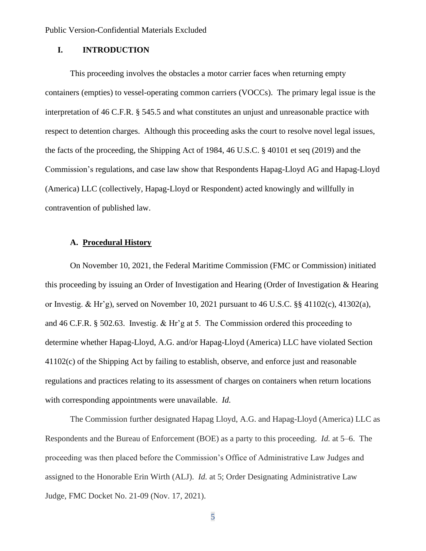### **I. INTRODUCTION**

This proceeding involves the obstacles a motor carrier faces when returning empty containers (empties) to vessel-operating common carriers (VOCCs). The primary legal issue is the interpretation of 46 C.F.R. § 545.5 and what constitutes an unjust and unreasonable practice with respect to detention charges. Although this proceeding asks the court to resolve novel legal issues, the facts of the proceeding, the Shipping Act of 1984, 46 U.S.C. § 40101 et seq (2019) and the Commission's regulations, and case law show that Respondents Hapag-Lloyd AG and Hapag-Lloyd (America) LLC (collectively, Hapag-Lloyd or Respondent) acted knowingly and willfully in contravention of published law.

### **A. Procedural History**

On November 10, 2021, the Federal Maritime Commission (FMC or Commission) initiated this proceeding by issuing an Order of Investigation and Hearing (Order of Investigation & Hearing or Investig. & Hr'g), served on November 10, 2021 pursuant to 46 U.S.C.  $\S$ § 41102(c), 41302(a), and 46 C.F.R. § 502.63. Investig. & Hr'g at 5. The Commission ordered this proceeding to determine whether Hapag-Lloyd, A.G. and/or Hapag-Lloyd (America) LLC have violated Section 41102(c) of the Shipping Act by failing to establish, observe, and enforce just and reasonable regulations and practices relating to its assessment of charges on containers when return locations with corresponding appointments were unavailable. *Id.*

The Commission further designated Hapag Lloyd, A.G. and Hapag-Lloyd (America) LLC as Respondents and the Bureau of Enforcement (BOE) as a party to this proceeding. *Id.* at 5–6. The proceeding was then placed before the Commission's Office of Administrative Law Judges and assigned to the Honorable Erin Wirth (ALJ). *Id.* at 5; Order Designating Administrative Law Judge, FMC Docket No. 21-09 (Nov. 17, 2021).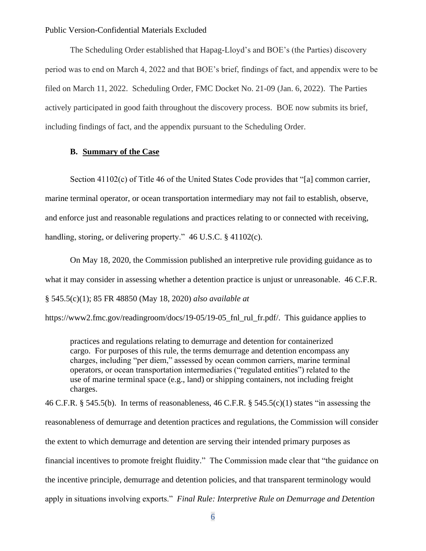The Scheduling Order established that Hapag-Lloyd's and BOE's (the Parties) discovery period was to end on March 4, 2022 and that BOE's brief, findings of fact, and appendix were to be filed on March 11, 2022. Scheduling Order, FMC Docket No. 21-09 (Jan. 6, 2022). The Parties actively participated in good faith throughout the discovery process. BOE now submits its brief, including findings of fact, and the appendix pursuant to the Scheduling Order.

### **B. Summary of the Case**

Section 41102(c) of Title 46 of the United States Code provides that "[a] common carrier, marine terminal operator, or ocean transportation intermediary may not fail to establish, observe, and enforce just and reasonable regulations and practices relating to or connected with receiving, handling, storing, or delivering property." 46 U.S.C. § 41102(c).

On May 18, 2020, the Commission published an interpretive rule providing guidance as to what it may consider in assessing whether a detention practice is unjust or unreasonable. 46 C.F.R. § 545.5(c)(1); 85 FR 48850 (May 18, 2020) *also available at* 

https://www2.fmc.gov/readingroom/docs/19-05/19-05\_fnl\_rul\_fr.pdf/. This guidance applies to

practices and regulations relating to demurrage and detention for containerized cargo. For purposes of this rule, the terms demurrage and detention encompass any charges, including "per diem," assessed by ocean common carriers, marine terminal operators, or ocean transportation intermediaries ("regulated entities") related to the use of marine terminal space (e.g., land) or shipping containers, not including freight charges.

46 C.F.R. § 545.5(b). In terms of reasonableness, 46 C.F.R. § 545.5(c)(1) states "in assessing the reasonableness of demurrage and detention practices and regulations, the Commission will consider the extent to which demurrage and detention are serving their intended primary purposes as financial incentives to promote freight fluidity." The Commission made clear that "the guidance on the incentive principle, demurrage and detention policies, and that transparent terminology would apply in situations involving exports." *Final Rule: Interpretive Rule on Demurrage and Detention*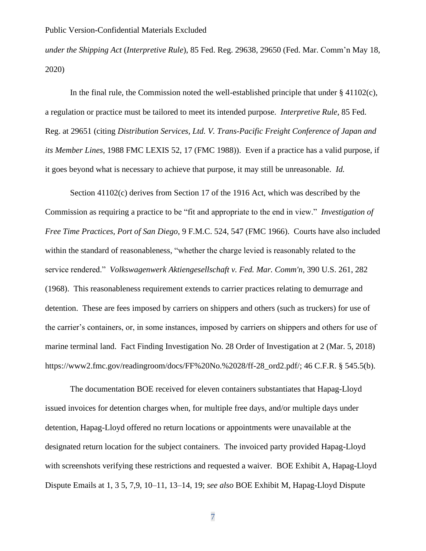*under the Shipping Act* (*Interpretive Rule*), 85 Fed. Reg. 29638, 29650 (Fed. Mar. Comm'n May 18, 2020)

In the final rule, the Commission noted the well-established principle that under  $\S$  41102(c), a regulation or practice must be tailored to meet its intended purpose. *Interpretive Rule*, 85 Fed. Reg. at 29651 (citing *Distribution Services, Ltd. V. Trans-Pacific Freight Conference of Japan and its Member Lines*, 1988 FMC LEXIS 52, 17 (FMC 1988)). Even if a practice has a valid purpose, if it goes beyond what is necessary to achieve that purpose, it may still be unreasonable. *Id.*

Section 41102(c) derives from Section 17 of the 1916 Act, which was described by the Commission as requiring a practice to be "fit and appropriate to the end in view." *Investigation of Free Time Practices, Port of San Diego*, 9 F.M.C. 524, 547 (FMC 1966). Courts have also included within the standard of reasonableness, "whether the charge levied is reasonably related to the service rendered." *Volkswagenwerk Aktiengesellschaft v. Fed. Mar. Comm'n*, 390 U.S. 261, 282 (1968). This reasonableness requirement extends to carrier practices relating to demurrage and detention. These are fees imposed by carriers on shippers and others (such as truckers) for use of the carrier's containers, or, in some instances, imposed by carriers on shippers and others for use of marine terminal land. Fact Finding Investigation No. 28 Order of Investigation at 2 (Mar. 5, 2018) https://www2.fmc.gov/readingroom/docs/FF%20No.%2028/ff-28\_ord2.pdf/; 46 C.F.R. § 545.5(b).

The documentation BOE received for eleven containers substantiates that Hapag-Lloyd issued invoices for detention charges when, for multiple free days, and/or multiple days under detention, Hapag-Lloyd offered no return locations or appointments were unavailable at the designated return location for the subject containers. The invoiced party provided Hapag-Lloyd with screenshots verifying these restrictions and requested a waiver. BOE Exhibit A, Hapag-Lloyd Dispute Emails at 1, 3 5, 7,9, 10–11, 13–14, 19; *see also* BOE Exhibit M, Hapag-Lloyd Dispute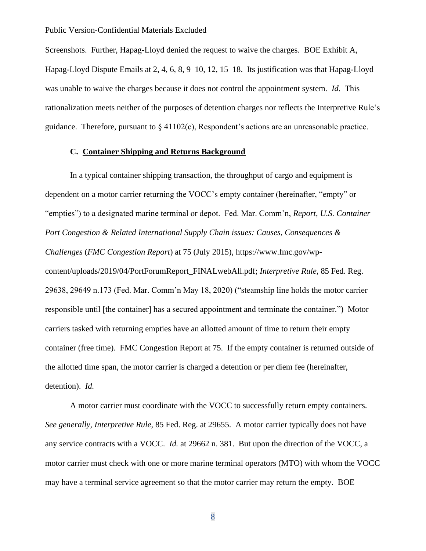Screenshots. Further, Hapag-Lloyd denied the request to waive the charges. BOE Exhibit A, Hapag-Lloyd Dispute Emails at 2, 4, 6, 8, 9–10, 12, 15–18. Its justification was that Hapag-Lloyd was unable to waive the charges because it does not control the appointment system. *Id.* This rationalization meets neither of the purposes of detention charges nor reflects the Interpretive Rule's guidance. Therefore, pursuant to  $\S 41102(c)$ , Respondent's actions are an unreasonable practice.

### **C. Container Shipping and Returns Background**

In a typical container shipping transaction, the throughput of cargo and equipment is dependent on a motor carrier returning the VOCC's empty container (hereinafter, "empty" or "empties") to a designated marine terminal or depot. Fed. Mar. Comm'n, *Report*, *U.S. Container Port Congestion & Related International Supply Chain issues: Causes, Consequences & Challenges* (*FMC Congestion Report*) at 75 (July 2015), https://www.fmc.gov/wpcontent/uploads/2019/04/PortForumReport\_FINALwebAll.pdf; *Interpretive Rule*, 85 Fed. Reg. 29638, 29649 n.173 (Fed. Mar. Comm'n May 18, 2020) ("steamship line holds the motor carrier responsible until [the container] has a secured appointment and terminate the container.") Motor carriers tasked with returning empties have an allotted amount of time to return their empty container (free time). FMC Congestion Report at 75. If the empty container is returned outside of the allotted time span, the motor carrier is charged a detention or per diem fee (hereinafter, detention). *Id.*

A motor carrier must coordinate with the VOCC to successfully return empty containers. *See generally, Interpretive Rule*, 85 Fed. Reg. at 29655. A motor carrier typically does not have any service contracts with a VOCC. *Id.* at 29662 n. 381. But upon the direction of the VOCC, a motor carrier must check with one or more marine terminal operators (MTO) with whom the VOCC may have a terminal service agreement so that the motor carrier may return the empty. BOE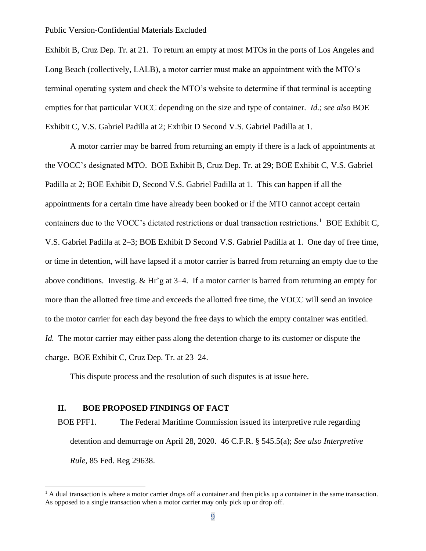Exhibit B, Cruz Dep. Tr. at 21. To return an empty at most MTOs in the ports of Los Angeles and Long Beach (collectively, LALB), a motor carrier must make an appointment with the MTO's terminal operating system and check the MTO's website to determine if that terminal is accepting empties for that particular VOCC depending on the size and type of container. *Id.*; *see also* BOE Exhibit C, V.S. Gabriel Padilla at 2; Exhibit D Second V.S. Gabriel Padilla at 1.

A motor carrier may be barred from returning an empty if there is a lack of appointments at the VOCC's designated MTO. BOE Exhibit B, Cruz Dep. Tr. at 29; BOE Exhibit C, V.S. Gabriel Padilla at 2; BOE Exhibit D, Second V.S. Gabriel Padilla at 1. This can happen if all the appointments for a certain time have already been booked or if the MTO cannot accept certain containers due to the VOCC's dictated restrictions or dual transaction restrictions.<sup>1</sup> BOE Exhibit C, V.S. Gabriel Padilla at 2–3; BOE Exhibit D Second V.S. Gabriel Padilla at 1. One day of free time, or time in detention, will have lapsed if a motor carrier is barred from returning an empty due to the above conditions. Investig. & Hr'g at 3–4. If a motor carrier is barred from returning an empty for more than the allotted free time and exceeds the allotted free time, the VOCC will send an invoice to the motor carrier for each day beyond the free days to which the empty container was entitled. *Id.* The motor carrier may either pass along the detention charge to its customer or dispute the charge. BOE Exhibit C, Cruz Dep. Tr. at 23–24.

This dispute process and the resolution of such disputes is at issue here.

#### **II. BOE PROPOSED FINDINGS OF FACT**

BOE PFF1. The Federal Maritime Commission issued its interpretive rule regarding detention and demurrage on April 28, 2020. 46 C.F.R. § 545.5(a); *See also Interpretive Rule*, 85 Fed. Reg 29638.

 $<sup>1</sup>$  A dual transaction is where a motor carrier drops off a container and then picks up a container in the same transaction.</sup> As opposed to a single transaction when a motor carrier may only pick up or drop off.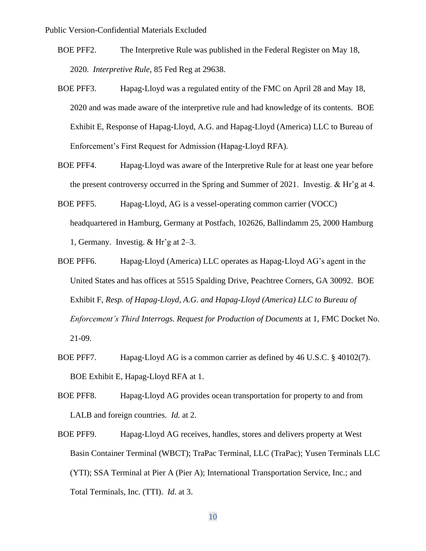- BOE PFF2. The Interpretive Rule was published in the Federal Register on May 18, 2020. *Interpretive Rule*, 85 Fed Reg at 29638.
- BOE PFF3. Hapag-Lloyd was a regulated entity of the FMC on April 28 and May 18, 2020 and was made aware of the interpretive rule and had knowledge of its contents. BOE Exhibit E, Response of Hapag-Lloyd, A.G. and Hapag-Lloyd (America) LLC to Bureau of Enforcement's First Request for Admission (Hapag-Lloyd RFA).
- BOE PFF4. Hapag-Lloyd was aware of the Interpretive Rule for at least one year before the present controversy occurred in the Spring and Summer of 2021. Investig. & Hr'g at 4.
- BOE PFF5. Hapag-Lloyd, AG is a vessel-operating common carrier (VOCC) headquartered in Hamburg, Germany at Postfach, 102626, Ballindamm 25, 2000 Hamburg 1, Germany. Investig. & Hr'g at 2–3.
- BOE PFF6. Hapag-Lloyd (America) LLC operates as Hapag-Lloyd AG's agent in the United States and has offices at 5515 Spalding Drive, Peachtree Corners, GA 30092. BOE Exhibit F, *Resp. of Hapag-Lloyd, A.G. and Hapag-Lloyd (America) LLC to Bureau of Enforcement's Third Interrogs. Request for Production of Documents* at 1, FMC Docket No. 21-09.
- BOE PFF7. Hapag-Lloyd AG is a common carrier as defined by 46 U.S.C. § 40102(7). BOE Exhibit E, Hapag-Lloyd RFA at 1.
- BOE PFF8. Hapag-Lloyd AG provides ocean transportation for property to and from LALB and foreign countries. *Id.* at 2.
- BOE PFF9. Hapag-Lloyd AG receives, handles, stores and delivers property at West Basin Container Terminal (WBCT); TraPac Terminal, LLC (TraPac); Yusen Terminals LLC (YTI); SSA Terminal at Pier A (Pier A); International Transportation Service, Inc.; and Total Terminals, Inc. (TTI). *Id.* at 3.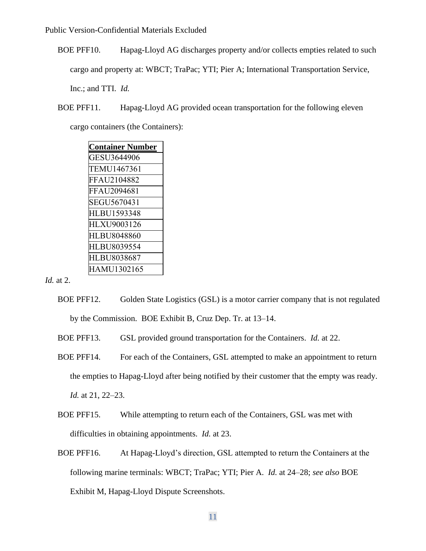BOE PFF10. Hapag-Lloyd AG discharges property and/or collects empties related to such cargo and property at: WBCT; TraPac; YTI; Pier A; International Transportation Service, Inc.; and TTI. *Id.* 

BOE PFF11. Hapag-Lloyd AG provided ocean transportation for the following eleven

cargo containers (the Containers):

| <b>Container Number</b> |
|-------------------------|
| GESU3644906             |
| TEMU1467361             |
| FFAU2104882             |
| FFAU2094681             |
| SEGU5670431             |
| HLBU1593348             |
| HLXU9003126             |
| HLBU8048860             |
| HLBU8039554             |
| HLBU8038687             |
| HAMU1302165             |

*Id.* at 2.

- BOE PFF12. Golden State Logistics (GSL) is a motor carrier company that is not regulated by the Commission. BOE Exhibit B, Cruz Dep. Tr. at 13–14.
- BOE PFF13. GSL provided ground transportation for the Containers. *Id.* at 22.
- BOE PFF14. For each of the Containers, GSL attempted to make an appointment to return the empties to Hapag-Lloyd after being notified by their customer that the empty was ready. *Id.* at 21, 22–23.
- BOE PFF15. While attempting to return each of the Containers, GSL was met with difficulties in obtaining appointments. *Id.* at 23.
- BOE PFF16. At Hapag-Lloyd's direction, GSL attempted to return the Containers at the following marine terminals: WBCT; TraPac; YTI; Pier A. *Id.* at 24–28; *see also* BOE Exhibit M, Hapag-Lloyd Dispute Screenshots.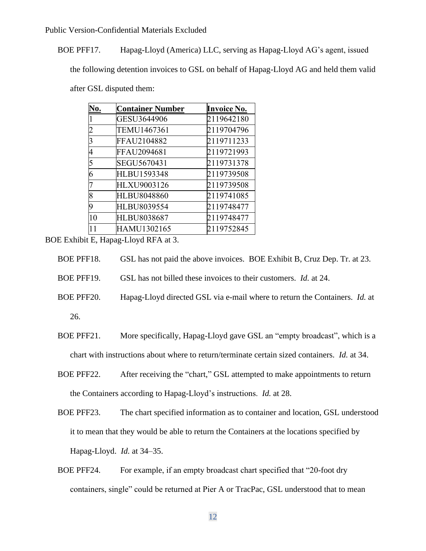BOE PFF17. Hapag-Lloyd (America) LLC, serving as Hapag-Lloyd AG's agent, issued

the following detention invoices to GSL on behalf of Hapag-Lloyd AG and held them valid

after GSL disputed them:

| No.            | <b>Container Number</b> | <b>Invoice No.</b> |
|----------------|-------------------------|--------------------|
|                | GESU3644906             | 2119642180         |
|                | TEMU1467361             | 2119704796         |
| 3              | FFAU2104882             | 2119711233         |
|                | FFAU2094681             | 2119721993         |
| $\overline{5}$ | SEGU5670431             | 2119731378         |
| 6              | <b>HLBU1593348</b>      | 2119739508         |
|                | HLXU9003126             | 2119739508         |
| 8              | HLBU8048860             | 2119741085         |
| 9              | HLBU8039554             | 2119748477         |
| 10             | HLBU8038687             | 2119748477         |
| 11             | HAMU1302165             | 2119752845         |

BOE Exhibit E, Hapag-Lloyd RFA at 3.

| BOE PFF18. | GSL has not paid the above invoices. BOE Exhibit B, Cruz Dep. Tr. at 23. |  |
|------------|--------------------------------------------------------------------------|--|
|------------|--------------------------------------------------------------------------|--|

BOE PFF19. GSL has not billed these invoices to their customers. *Id.* at 24.

- BOE PFF20. Hapag-Lloyd directed GSL via e-mail where to return the Containers. *Id.* at 26.
- BOE PFF21. More specifically, Hapag-Lloyd gave GSL an "empty broadcast", which is a chart with instructions about where to return/terminate certain sized containers. *Id.* at 34.
- BOE PFF22. After receiving the "chart," GSL attempted to make appointments to return the Containers according to Hapag-Lloyd's instructions. *Id.* at 28.
- BOE PFF23. The chart specified information as to container and location, GSL understood it to mean that they would be able to return the Containers at the locations specified by Hapag-Lloyd. *Id.* at 34–35.
- BOE PFF24. For example, if an empty broadcast chart specified that "20-foot dry containers, single" could be returned at Pier A or TracPac, GSL understood that to mean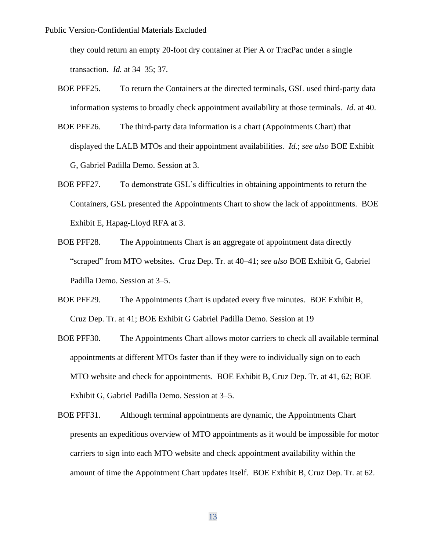they could return an empty 20-foot dry container at Pier A or TracPac under a single transaction. *Id.* at 34–35; 37.

- BOE PFF25. To return the Containers at the directed terminals, GSL used third-party data information systems to broadly check appointment availability at those terminals. *Id.* at 40.
- BOE PFF26. The third-party data information is a chart (Appointments Chart) that displayed the LALB MTOs and their appointment availabilities. *Id.*; *see also* BOE Exhibit G, Gabriel Padilla Demo. Session at 3.
- BOE PFF27. To demonstrate GSL's difficulties in obtaining appointments to return the Containers, GSL presented the Appointments Chart to show the lack of appointments. BOE Exhibit E, Hapag-Lloyd RFA at 3.
- BOE PFF28. The Appointments Chart is an aggregate of appointment data directly "scraped" from MTO websites. Cruz Dep. Tr. at 40–41; *see also* BOE Exhibit G, Gabriel Padilla Demo. Session at 3–5.
- BOE PFF29. The Appointments Chart is updated every five minutes. BOE Exhibit B, Cruz Dep. Tr. at 41; BOE Exhibit G Gabriel Padilla Demo. Session at 19
- BOE PFF30. The Appointments Chart allows motor carriers to check all available terminal appointments at different MTOs faster than if they were to individually sign on to each MTO website and check for appointments. BOE Exhibit B, Cruz Dep. Tr. at 41, 62; BOE Exhibit G, Gabriel Padilla Demo. Session at 3–5.
- BOE PFF31. Although terminal appointments are dynamic, the Appointments Chart presents an expeditious overview of MTO appointments as it would be impossible for motor carriers to sign into each MTO website and check appointment availability within the amount of time the Appointment Chart updates itself. BOE Exhibit B, Cruz Dep. Tr. at 62.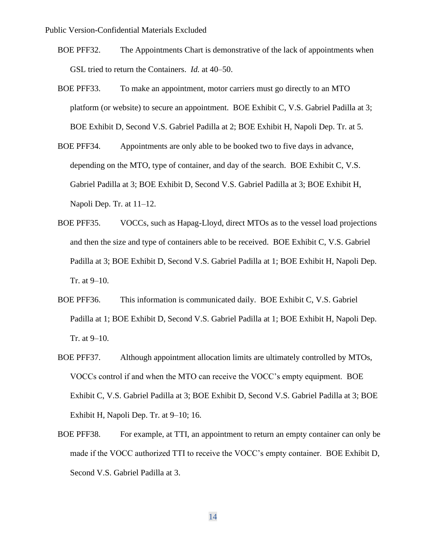- BOE PFF32. The Appointments Chart is demonstrative of the lack of appointments when GSL tried to return the Containers. *Id.* at 40–50.
- BOE PFF33. To make an appointment, motor carriers must go directly to an MTO platform (or website) to secure an appointment. BOE Exhibit C, V.S. Gabriel Padilla at 3; BOE Exhibit D, Second V.S. Gabriel Padilla at 2; BOE Exhibit H, Napoli Dep. Tr. at 5.
- BOE PFF34. Appointments are only able to be booked two to five days in advance, depending on the MTO, type of container, and day of the search. BOE Exhibit C, V.S. Gabriel Padilla at 3; BOE Exhibit D, Second V.S. Gabriel Padilla at 3; BOE Exhibit H, Napoli Dep. Tr. at 11–12.
- BOE PFF35. VOCCs, such as Hapag-Lloyd, direct MTOs as to the vessel load projections and then the size and type of containers able to be received. BOE Exhibit C, V.S. Gabriel Padilla at 3; BOE Exhibit D, Second V.S. Gabriel Padilla at 1; BOE Exhibit H, Napoli Dep. Tr. at 9–10.
- BOE PFF36. This information is communicated daily. BOE Exhibit C, V.S. Gabriel Padilla at 1; BOE Exhibit D, Second V.S. Gabriel Padilla at 1; BOE Exhibit H, Napoli Dep. Tr. at 9–10.
- BOE PFF37. Although appointment allocation limits are ultimately controlled by MTOs, VOCCs control if and when the MTO can receive the VOCC's empty equipment. BOE Exhibit C, V.S. Gabriel Padilla at 3; BOE Exhibit D, Second V.S. Gabriel Padilla at 3; BOE Exhibit H, Napoli Dep. Tr. at 9–10; 16.
- BOE PFF38. For example, at TTI, an appointment to return an empty container can only be made if the VOCC authorized TTI to receive the VOCC's empty container. BOE Exhibit D, Second V.S. Gabriel Padilla at 3.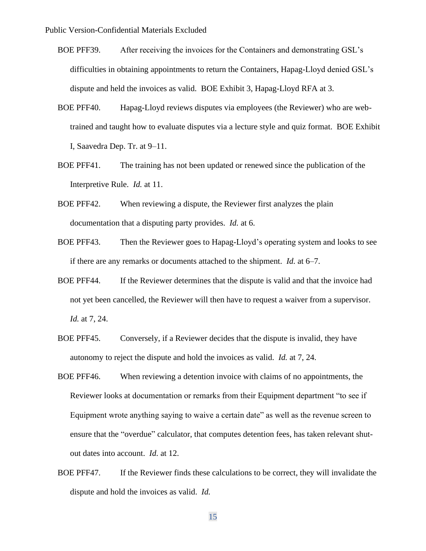- BOE PFF39. After receiving the invoices for the Containers and demonstrating GSL's difficulties in obtaining appointments to return the Containers, Hapag-Lloyd denied GSL's dispute and held the invoices as valid. BOE Exhibit 3, Hapag-Lloyd RFA at 3.
- BOE PFF40. Hapag-Lloyd reviews disputes via employees (the Reviewer) who are webtrained and taught how to evaluate disputes via a lecture style and quiz format. BOE Exhibit I, Saavedra Dep. Tr. at 9–11.
- BOE PFF41. The training has not been updated or renewed since the publication of the Interpretive Rule. *Id.* at 11.
- BOE PFF42. When reviewing a dispute, the Reviewer first analyzes the plain documentation that a disputing party provides. *Id.* at 6.
- BOE PFF43. Then the Reviewer goes to Hapag-Lloyd's operating system and looks to see if there are any remarks or documents attached to the shipment. *Id.* at 6–7.
- BOE PFF44. If the Reviewer determines that the dispute is valid and that the invoice had not yet been cancelled, the Reviewer will then have to request a waiver from a supervisor. *Id.* at 7, 24.
- BOE PFF45. Conversely, if a Reviewer decides that the dispute is invalid, they have autonomy to reject the dispute and hold the invoices as valid. *Id.* at 7, 24.
- BOE PFF46. When reviewing a detention invoice with claims of no appointments, the Reviewer looks at documentation or remarks from their Equipment department "to see if Equipment wrote anything saying to waive a certain date" as well as the revenue screen to ensure that the "overdue" calculator, that computes detention fees, has taken relevant shutout dates into account. *Id.* at 12.
- BOE PFF47. If the Reviewer finds these calculations to be correct, they will invalidate the dispute and hold the invoices as valid. *Id.*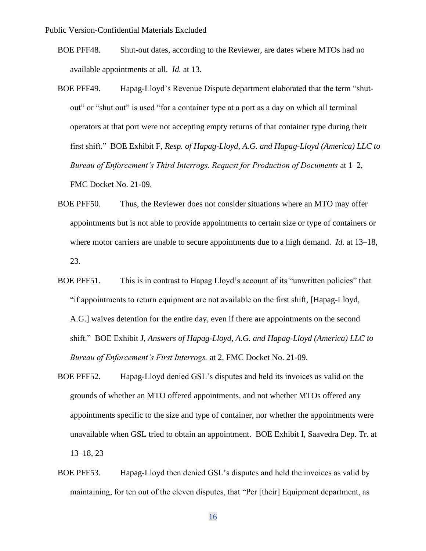- BOE PFF48. Shut-out dates, according to the Reviewer, are dates where MTOs had no available appointments at all. *Id.* at 13.
- BOE PFF49. Hapag-Lloyd's Revenue Dispute department elaborated that the term "shutout" or "shut out" is used "for a container type at a port as a day on which all terminal operators at that port were not accepting empty returns of that container type during their first shift." BOE Exhibit F, *Resp. of Hapag-Lloyd, A.G. and Hapag-Lloyd (America) LLC to Bureau of Enforcement's Third Interrogs. Request for Production of Documents* at 1–2, FMC Docket No. 21-09.
- BOE PFF50. Thus, the Reviewer does not consider situations where an MTO may offer appointments but is not able to provide appointments to certain size or type of containers or where motor carriers are unable to secure appointments due to a high demand. *Id.* at 13–18, 23.
- BOE PFF51. This is in contrast to Hapag Lloyd's account of its "unwritten policies" that "if appointments to return equipment are not available on the first shift, [Hapag-Lloyd, A.G.] waives detention for the entire day, even if there are appointments on the second shift." BOE Exhibit J, *Answers of Hapag-Lloyd, A.G. and Hapag-Lloyd (America) LLC to Bureau of Enforcement's First Interrogs.* at 2, FMC Docket No. 21-09.
- BOE PFF52. Hapag-Lloyd denied GSL's disputes and held its invoices as valid on the grounds of whether an MTO offered appointments, and not whether MTOs offered any appointments specific to the size and type of container, nor whether the appointments were unavailable when GSL tried to obtain an appointment. BOE Exhibit I, Saavedra Dep. Tr. at 13–18, 23
- BOE PFF53. Hapag-Lloyd then denied GSL's disputes and held the invoices as valid by maintaining, for ten out of the eleven disputes, that "Per [their] Equipment department, as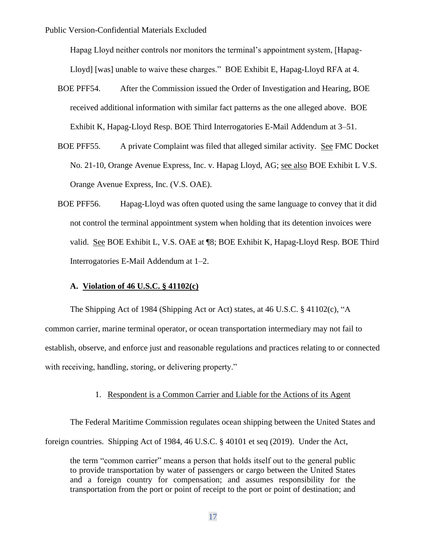Hapag Lloyd neither controls nor monitors the terminal's appointment system, [Hapag-Lloyd] [was] unable to waive these charges." BOE Exhibit E, Hapag-Lloyd RFA at 4.

- BOE PFF54. After the Commission issued the Order of Investigation and Hearing, BOE received additional information with similar fact patterns as the one alleged above. BOE Exhibit K, Hapag-Lloyd Resp. BOE Third Interrogatories E-Mail Addendum at 3–51.
- BOE PFF55. A private Complaint was filed that alleged similar activity. See FMC Docket No. 21-10, Orange Avenue Express, Inc. v. Hapag Lloyd, AG; see also BOE Exhibit L V.S. Orange Avenue Express, Inc. (V.S. OAE).
- BOE PFF56. Hapag-Lloyd was often quoted using the same language to convey that it did not control the terminal appointment system when holding that its detention invoices were valid. See BOE Exhibit L, V.S. OAE at ¶8; BOE Exhibit K, Hapag-Lloyd Resp. BOE Third Interrogatories E-Mail Addendum at 1–2.

#### **A. Violation of 46 U.S.C. § 41102(c)**

The Shipping Act of 1984 (Shipping Act or Act) states, at 46 U.S.C. § 41102(c), "A common carrier, marine terminal operator, or ocean transportation intermediary may not fail to establish, observe, and enforce just and reasonable regulations and practices relating to or connected with receiving, handling, storing, or delivering property."

### 1. Respondent is a Common Carrier and Liable for the Actions of its Agent

The Federal Maritime Commission regulates ocean shipping between the United States and foreign countries. Shipping Act of 1984, 46 U.S.C. § 40101 et seq (2019). Under the Act,

the term "common carrier" means a person that holds itself out to the general public to provide transportation by water of passengers or cargo between the United States and a foreign country for compensation; and assumes responsibility for the transportation from the port or point of receipt to the port or point of destination; and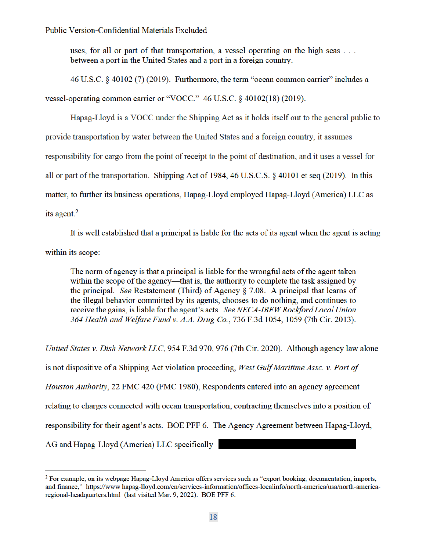uses, for all or part of that transportation, a vessel operating on the high seas ... between a port in the United States and a port in a foreign country.

46 U.S.C. § 40102 (7) (2019). Furthermore, the term "ocean common carrier" includes a vessel-operating common carrier or "VOCC." 46 U.S.C. § 40102(18) (2019).

Hapag-Lloyd is a VOCC under the Shipping Act as it holds itself out to the general public to provide transportation by water between the United States and a foreign country, it assumes responsibility for cargo from the point of receipt to the point of destination, and it uses a vessel for all or part of the transportation. Shipping Act of 1984, 46 U.S.C.S.  $\S$  40101 et seq (2019). In this matter, to further its business operations, Hapag-Lloyd employed Hapag-Lloyd (America) LLC as its agent. $<sup>2</sup>$ </sup>

It is well established that a principal is liable for the acts of its agent when the agent is acting within its scope:

The norm of agency is that a principal is liable for the wrongful acts of the agent taken within the scope of the agency—that is, the authority to complete the task assigned by the principal. See Restatement (Third) of Agency § 7.08. A principal that learns of the illegal behavior committed by its agents, chooses to do nothing, and continues to receive the gains, is liable for the agent's acts. See NECA-IBEW Rockford Local Union 364 Health and Welfare Fund v. A.A. Drug Co., 736 F.3d 1054, 1059 (7th Cir. 2013).

United States v. Dish Network LLC, 954 F.3d 970, 976 (7th Cir. 2020). Although agency law alone is not dispositive of a Shipping Act violation proceeding, West Gulf Maritime Assc. v. Port of Houston Authority, 22 FMC 420 (FMC 1980), Respondents entered into an agency agreement relating to charges connected with ocean transportation, contracting themselves into a position of responsibility for their agent's acts. BOE PFF 6. The Agency Agreement between Hapag-Lloyd, AG and Hapag-Lloyd (America) LLC specifically

<sup>&</sup>lt;sup>2</sup> For example, on its webpage Hapag-Lloyd America offers services such as "export booking, documentation, imports, and finance," https://www.hapag-lloyd.com/en/services-information/offices-localinfo/north-america/usa/north-americaregional-headquarters.html (last visited Mar. 9, 2022). BOE PFF 6.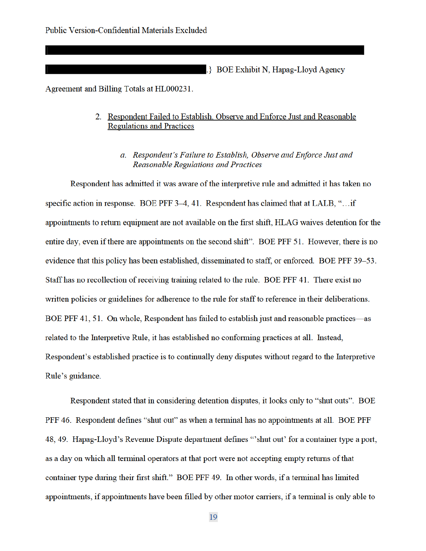.} BOE Exhibit N, Hapag-Lloyd Agency

Agreement and Billing Totals at HL000231.

## 2. Respondent Failed to Establish, Observe and Enforce Just and Reasonable **Regulations and Practices**

a. Respondent's Failure to Establish, Observe and Enforce Just and **Reasonable Regulations and Practices** 

Respondent has admitted it was aware of the interpretive rule and admitted it has taken no specific action in response. BOE PFF 3-4, 41. Respondent has claimed that at LALB, "... if appointments to return equipment are not available on the first shift, HLAG waives detention for the entire day, even if there are appointments on the second shift". BOE PFF 51. However, there is no evidence that this policy has been established, disseminated to staff, or enforced. BOE PFF 39-53. Staff has no recollection of receiving training related to the rule. BOE PFF 41. There exist no written policies or guidelines for adherence to the rule for staff to reference in their deliberations. BOE PFF 41, 51. On whole, Respondent has failed to establish just and reasonable practices—as related to the Interpretive Rule, it has established no conforming practices at all. Instead, Respondent's established practice is to continually deny disputes without regard to the Interpretive Rule's guidance.

Respondent stated that in considering detention disputes, it looks only to "shut outs". BOE PFF 46. Respondent defines "shut out" as when a terminal has no appointments at all. BOE PFF 48, 49. Hapag-Lloyd's Revenue Dispute department defines "shut out" for a container type a port, as a day on which all terminal operators at that port were not accepting empty returns of that container type during their first shift." BOE PFF 49. In other words, if a terminal has limited appointments, if appointments have been filled by other motor carriers, if a terminal is only able to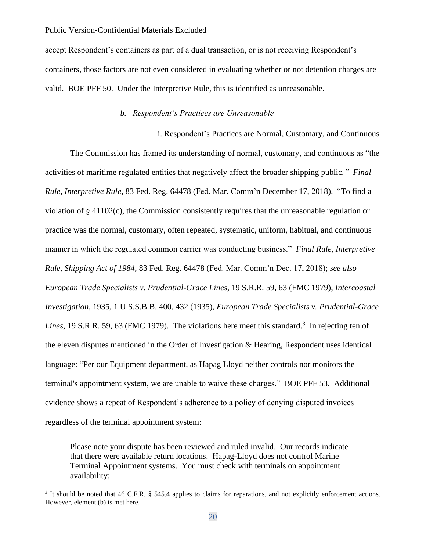accept Respondent's containers as part of a dual transaction, or is not receiving Respondent's containers, those factors are not even considered in evaluating whether or not detention charges are valid. BOE PFF 50. Under the Interpretive Rule, this is identified as unreasonable.

## *b. Respondent's Practices are Unreasonable*

i. Respondent's Practices are Normal, Customary, and Continuous The Commission has framed its understanding of normal, customary, and continuous as "the activities of maritime regulated entities that negatively affect the broader shipping public*." Final Rule, Interpretive Rule*, 83 Fed. Reg. 64478 (Fed. Mar. Comm'n December 17, 2018). "To find a violation of § 41102(c), the Commission consistently requires that the unreasonable regulation or practice was the normal, customary, often repeated, systematic, uniform, habitual, and continuous manner in which the regulated common carrier was conducting business." *Final Rule, Interpretive Rule, Shipping Act of 1984*, 83 Fed. Reg. 64478 (Fed. Mar. Comm'n Dec. 17, 2018); *see also European Trade Specialists v. Prudential-Grace Lines*, 19 S.R.R. 59, 63 (FMC 1979), *Intercoastal Investigation*, 1935, 1 U.S.S.B.B. 400, 432 (1935), *European Trade Specialists v. Prudential-Grace*  Lines, 19 S.R.R. 59, 63 (FMC 1979). The violations here meet this standard.<sup>3</sup> In rejecting ten of the eleven disputes mentioned in the Order of Investigation & Hearing, Respondent uses identical language: "Per our Equipment department, as Hapag Lloyd neither controls nor monitors the terminal's appointment system, we are unable to waive these charges." BOE PFF 53. Additional evidence shows a repeat of Respondent's adherence to a policy of denying disputed invoices regardless of the terminal appointment system:

Please note your dispute has been reviewed and ruled invalid. Our records indicate that there were available return locations. Hapag-Lloyd does not control Marine Terminal Appointment systems. You must check with terminals on appointment availability;

<sup>&</sup>lt;sup>3</sup> It should be noted that 46 C.F.R. § 545.4 applies to claims for reparations, and not explicitly enforcement actions. However, element (b) is met here.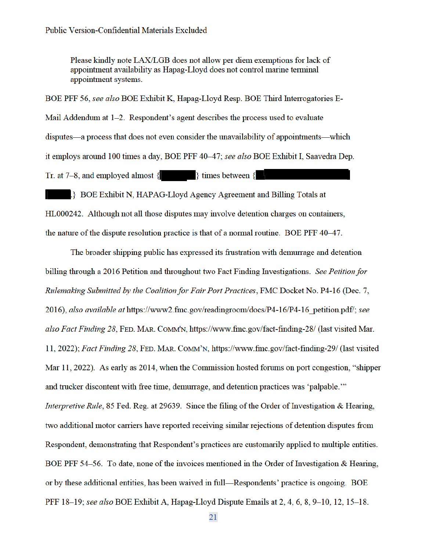Please kindly note LAX/LGB does not allow per diem exemptions for lack of appointment availability as Hapag-Lloyd does not control marine terminal appointment systems.

BOE PFF 56, see also BOE Exhibit K, Hapag-Lloyd Resp. BOE Third Interrogatories E-Mail Addendum at 1-2. Respondent's agent describes the process used to evaluate disputes—a process that does not even consider the unavailability of appointments—which it employs around 100 times a day, BOE PFF 40–47; see also BOE Exhibit I, Saavedra Dep. Tr. at 7–8, and employed almost  $\{$   $\}$  times between  $\{$ 

.} BOE Exhibit N, HAPAG-Lloyd Agency Agreement and Billing Totals at HL000242. Although not all those disputes may involve detention charges on containers, the nature of the dispute resolution practice is that of a normal routine. BOE PFF 40–47.

The broader shipping public has expressed its frustration with demurrage and detention billing through a 2016 Petition and throughout two Fact Finding Investigations. See Petition for Rulemaking Submitted by the Coalition for Fair Port Practices, FMC Docket No. P4-16 (Dec. 7, 2016), also available at https://www2.fmc.gov/readingroom/docs/P4-16/P4-16 petition.pdf/; see also Fact Finding 28, FED. MAR. COMM'N, https://www.fmc.gov/fact-finding-28/ (last visited Mar. 11, 2022); Fact Finding 28, FED. MAR. COMM'N, https://www.fmc.gov/fact-finding-29/ (last visited Mar 11, 2022). As early as 2014, when the Commission hosted forums on port congestion, "shipper and trucker discontent with free time, demurrage, and detention practices was 'palpable." *Interpretive Rule*, 85 Fed. Reg. at 29639. Since the filing of the Order of Investigation & Hearing, two additional motor carriers have reported receiving similar rejections of detention disputes from Respondent, demonstrating that Respondent's practices are customarily applied to multiple entities. BOE PFF 54–56. To date, none of the invoices mentioned in the Order of Investigation & Hearing, or by these additional entities, has been waived in full—Respondents' practice is ongoing. BOE PFF 18-19; see also BOE Exhibit A, Hapag-Lloyd Dispute Emails at 2, 4, 6, 8, 9-10, 12, 15-18.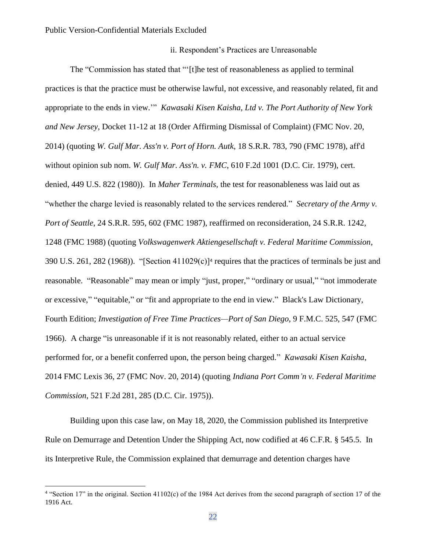### ii. Respondent's Practices are Unreasonable

The "Commission has stated that "'[t]he test of reasonableness as applied to terminal practices is that the practice must be otherwise lawful, not excessive, and reasonably related, fit and appropriate to the ends in view.'" *Kawasaki Kisen Kaisha, Ltd v. The Port Authority of New York and New Jersey*, Docket 11-12 at 18 (Order Affirming Dismissal of Complaint) (FMC Nov. 20, 2014) (quoting *W. Gulf Mar. Ass'n v. Port of Horn. Autk*, 18 S.R.R. 783, 790 (FMC 1978), aff'd without opinion sub nom. *W. Gulf Mar. Ass'n. v. FMC*, 610 F.2d 1001 (D.C. Cir. 1979), cert. denied, 449 U.S. 822 (1980)). In *Maher Terminals,* the test for reasonableness was laid out as "whether the charge levied is reasonably related to the services rendered." *Secretary of the Army v. Port of Seattle*, 24 S.R.R. 595, 602 (FMC 1987), reaffirmed on reconsideration, 24 S.R.R. 1242, 1248 (FMC 1988) (quoting *Volkswagenwerk Aktiengesellschaft v. Federal Maritime Commission*, 390 U.S. 261, 282 (1968)). "[Section 411029(c)]<sup>4</sup> requires that the practices of terminals be just and reasonable. "Reasonable" may mean or imply "just, proper," "ordinary or usual," "not immoderate or excessive," "equitable," or "fit and appropriate to the end in view." Black's Law Dictionary, Fourth Edition; *Investigation of Free Time Practices—Port of San Diego*, 9 F.M.C. 525, 547 (FMC 1966). A charge "is unreasonable if it is not reasonably related, either to an actual service performed for, or a benefit conferred upon, the person being charged." *Kawasaki Kisen Kaisha*, 2014 FMC Lexis 36, 27 (FMC Nov. 20, 2014) (quoting *Indiana Port Comm'n v. Federal Maritime Commission*, 521 F.2d 281, 285 (D.C. Cir. 1975)).

Building upon this case law, on May 18, 2020, the Commission published its Interpretive Rule on Demurrage and Detention Under the Shipping Act, now codified at 46 C.F.R. § 545.5. In its Interpretive Rule, the Commission explained that demurrage and detention charges have

<sup>&</sup>lt;sup>4</sup> "Section 17" in the original. Section 41102(c) of the 1984 Act derives from the second paragraph of section 17 of the 1916 Act.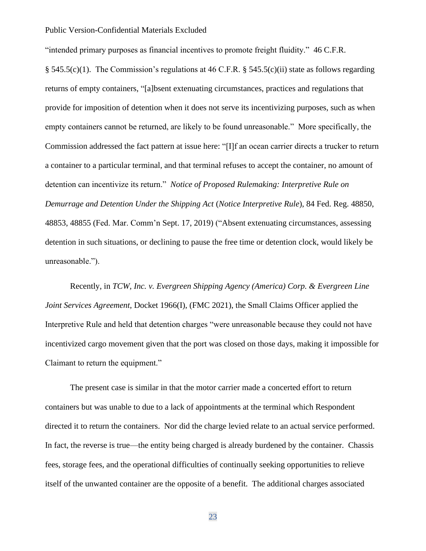"intended primary purposes as financial incentives to promote freight fluidity." 46 C.F.R.

§ 545.5(c)(1). The Commission's regulations at 46 C.F.R. § 545.5(c)(ii) state as follows regarding returns of empty containers, "[a]bsent extenuating circumstances, practices and regulations that provide for imposition of detention when it does not serve its incentivizing purposes, such as when empty containers cannot be returned, are likely to be found unreasonable." More specifically, the Commission addressed the fact pattern at issue here: "[I]f an ocean carrier directs a trucker to return a container to a particular terminal, and that terminal refuses to accept the container, no amount of detention can incentivize its return." *Notice of Proposed Rulemaking: Interpretive Rule on Demurrage and Detention Under the Shipping Act* (*Notice Interpretive Rule*), 84 Fed. Reg. 48850, 48853, 48855 (Fed. Mar. Comm'n Sept. 17, 2019) ("Absent extenuating circumstances, assessing detention in such situations, or declining to pause the free time or detention clock, would likely be unreasonable.").

Recently, in *TCW, Inc. v. Evergreen Shipping Agency (America) Corp. & Evergreen Line Joint Services Agreement*, Docket 1966(I), (FMC 2021), the Small Claims Officer applied the Interpretive Rule and held that detention charges "were unreasonable because they could not have incentivized cargo movement given that the port was closed on those days, making it impossible for Claimant to return the equipment."

The present case is similar in that the motor carrier made a concerted effort to return containers but was unable to due to a lack of appointments at the terminal which Respondent directed it to return the containers. Nor did the charge levied relate to an actual service performed. In fact, the reverse is true—the entity being charged is already burdened by the container. Chassis fees, storage fees, and the operational difficulties of continually seeking opportunities to relieve itself of the unwanted container are the opposite of a benefit. The additional charges associated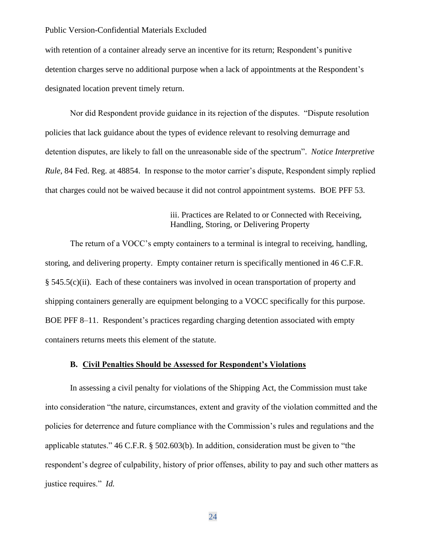with retention of a container already serve an incentive for its return; Respondent's punitive detention charges serve no additional purpose when a lack of appointments at the Respondent's designated location prevent timely return.

Nor did Respondent provide guidance in its rejection of the disputes. "Dispute resolution policies that lack guidance about the types of evidence relevant to resolving demurrage and detention disputes, are likely to fall on the unreasonable side of the spectrum". *Notice Interpretive Rule*, 84 Fed. Reg. at 48854. In response to the motor carrier's dispute, Respondent simply replied that charges could not be waived because it did not control appointment systems. BOE PFF 53.

## iii. Practices are Related to or Connected with Receiving, Handling, Storing, or Delivering Property

The return of a VOCC's empty containers to a terminal is integral to receiving, handling, storing, and delivering property. Empty container return is specifically mentioned in 46 C.F.R. § 545.5(c)(ii). Each of these containers was involved in ocean transportation of property and shipping containers generally are equipment belonging to a VOCC specifically for this purpose. BOE PFF 8–11. Respondent's practices regarding charging detention associated with empty containers returns meets this element of the statute.

### **B. Civil Penalties Should be Assessed for Respondent's Violations**

In assessing a civil penalty for violations of the Shipping Act, the Commission must take into consideration "the nature, circumstances, extent and gravity of the violation committed and the policies for deterrence and future compliance with the Commission's rules and regulations and the applicable statutes." 46 C.F.R. § 502.603(b). In addition, consideration must be given to "the respondent's degree of culpability, history of prior offenses, ability to pay and such other matters as justice requires." *Id.*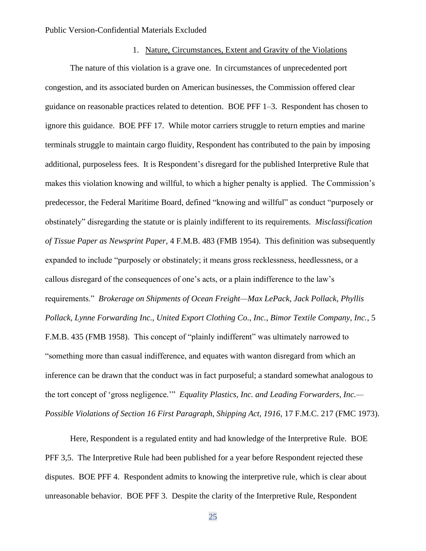### 1. Nature, Circumstances, Extent and Gravity of the Violations

The nature of this violation is a grave one. In circumstances of unprecedented port congestion, and its associated burden on American businesses, the Commission offered clear guidance on reasonable practices related to detention. BOE PFF 1–3. Respondent has chosen to ignore this guidance. BOE PFF 17. While motor carriers struggle to return empties and marine terminals struggle to maintain cargo fluidity, Respondent has contributed to the pain by imposing additional, purposeless fees. It is Respondent's disregard for the published Interpretive Rule that makes this violation knowing and willful, to which a higher penalty is applied. The Commission's predecessor, the Federal Maritime Board, defined "knowing and willful" as conduct "purposely or obstinately" disregarding the statute or is plainly indifferent to its requirements. *Misclassification of Tissue Paper as Newsprint Paper*, 4 F.M.B. 483 (FMB 1954). This definition was subsequently expanded to include "purposely or obstinately; it means gross recklessness, heedlessness, or a callous disregard of the consequences of one's acts, or a plain indifference to the law's requirements." *Brokerage on Shipments of Ocean Freight—Max LePack, Jack Pollack, Phyllis Pollack, Lynne Forwarding Inc., United Export Clothing Co., Inc., Bimor Textile Company, Inc.*, 5 F.M.B. 435 (FMB 1958). This concept of "plainly indifferent" was ultimately narrowed to "something more than casual indifference, and equates with wanton disregard from which an inference can be drawn that the conduct was in fact purposeful; a standard somewhat analogous to the tort concept of 'gross negligence.'" *Equality Plastics, Inc. and Leading Forwarders, Inc.— Possible Violations of Section 16 First Paragraph, Shipping Act, 1916,* 17 F.M.C. 217 (FMC 1973).

Here, Respondent is a regulated entity and had knowledge of the Interpretive Rule. BOE PFF 3,5. The Interpretive Rule had been published for a year before Respondent rejected these disputes. BOE PFF 4. Respondent admits to knowing the interpretive rule, which is clear about unreasonable behavior. BOE PFF 3. Despite the clarity of the Interpretive Rule, Respondent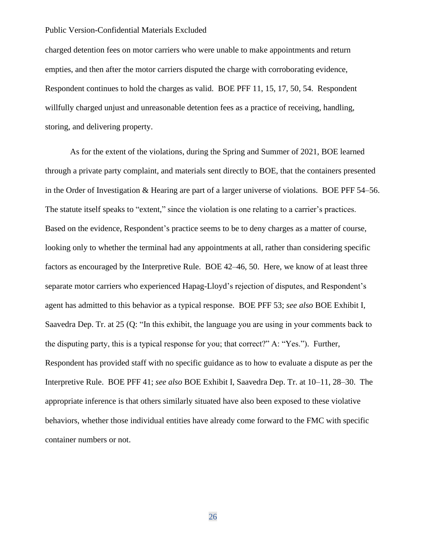charged detention fees on motor carriers who were unable to make appointments and return empties, and then after the motor carriers disputed the charge with corroborating evidence, Respondent continues to hold the charges as valid. BOE PFF 11, 15, 17, 50, 54. Respondent willfully charged unjust and unreasonable detention fees as a practice of receiving, handling, storing, and delivering property.

As for the extent of the violations, during the Spring and Summer of 2021, BOE learned through a private party complaint, and materials sent directly to BOE, that the containers presented in the Order of Investigation & Hearing are part of a larger universe of violations. BOE PFF 54–56. The statute itself speaks to "extent," since the violation is one relating to a carrier's practices. Based on the evidence, Respondent's practice seems to be to deny charges as a matter of course, looking only to whether the terminal had any appointments at all, rather than considering specific factors as encouraged by the Interpretive Rule. BOE 42–46, 50. Here, we know of at least three separate motor carriers who experienced Hapag-Lloyd's rejection of disputes, and Respondent's agent has admitted to this behavior as a typical response. BOE PFF 53; *see also* BOE Exhibit I, Saavedra Dep. Tr. at 25 (Q: "In this exhibit, the language you are using in your comments back to the disputing party, this is a typical response for you; that correct?" A: "Yes."). Further, Respondent has provided staff with no specific guidance as to how to evaluate a dispute as per the Interpretive Rule. BOE PFF 41; *see also* BOE Exhibit I, Saavedra Dep. Tr. at 10–11, 28–30. The appropriate inference is that others similarly situated have also been exposed to these violative behaviors, whether those individual entities have already come forward to the FMC with specific container numbers or not.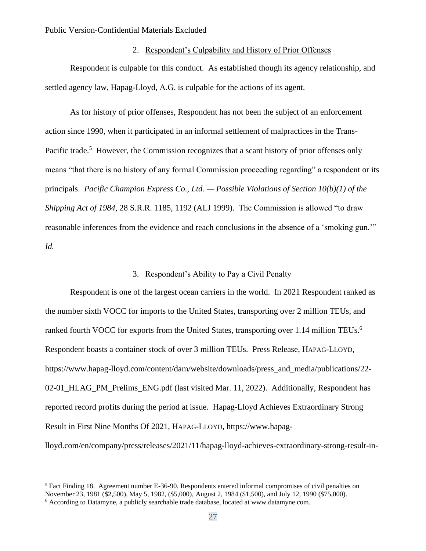### 2. Respondent's Culpability and History of Prior Offenses

Respondent is culpable for this conduct. As established though its agency relationship, and settled agency law, Hapag-Lloyd, A.G. is culpable for the actions of its agent.

As for history of prior offenses, Respondent has not been the subject of an enforcement action since 1990, when it participated in an informal settlement of malpractices in the Trans-Pacific trade.<sup>5</sup> However, the Commission recognizes that a scant history of prior offenses only means "that there is no history of any formal Commission proceeding regarding" a respondent or its principals. *Pacific Champion Express Co., Ltd. — Possible Violations of Section 10(b)(1) of the Shipping Act of 1984*, 28 S.R.R. 1185, 1192 (ALJ 1999). The Commission is allowed "to draw reasonable inferences from the evidence and reach conclusions in the absence of a 'smoking gun.'" *Id.*

### 3. Respondent's Ability to Pay a Civil Penalty

Respondent is one of the largest ocean carriers in the world. In 2021 Respondent ranked as the number sixth VOCC for imports to the United States, transporting over 2 million TEUs, and ranked fourth VOCC for exports from the United States, transporting over 1.14 million TEUs.<sup>6</sup> Respondent boasts a container stock of over 3 million TEUs. Press Release, HAPAG-LLOYD, https://www.hapag-lloyd.com/content/dam/website/downloads/press\_and\_media/publications/22- 02-01\_HLAG\_PM\_Prelims\_ENG.pdf (last visited Mar. 11, 2022). Additionally, Respondent has reported record profits during the period at issue. Hapag-Lloyd Achieves Extraordinary Strong Result in First Nine Months Of 2021, HAPAG-LLOYD, https://www.hapaglloyd.com/en/company/press/releases/2021/11/hapag-lloyd-achieves-extraordinary-strong-result-in-

<sup>&</sup>lt;sup>5</sup> Fact Finding 18. Agreement number E-36-90. Respondents entered informal compromises of civil penalties on November 23, 1981 (\$2,500), May 5, 1982, (\$5,000), August 2, 1984 (\$1,500), and July 12, 1990 (\$75,000).

<sup>6</sup> According to Datamyne, a publicly searchable trade database, located at www.datamyne.com.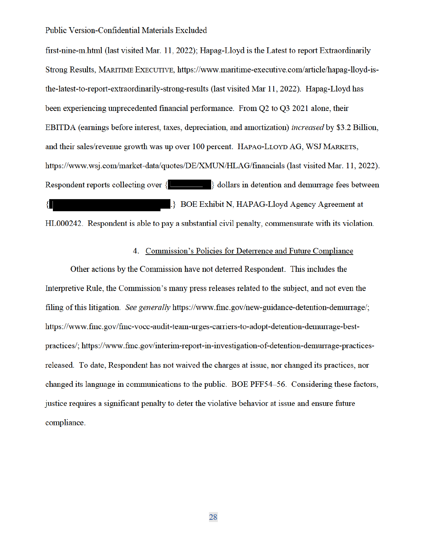first-nine-m.html (last visited Mar. 11, 2022); Hapag-Lloyd is the Latest to report Extraordinarily Strong Results, MARITIME EXECUTIVE, https://www.maritime-executive.com/article/hapag-lloyd-isthe-latest-to-report-extraordinarily-strong-results (last visited Mar 11, 2022). Hapag-Lloyd has been experiencing unprecedented financial performance. From O2 to O3 2021 alone, their EBITDA (earnings before interest, taxes, depreciation, and amortization) *increased* by \$3.2 Billion, and their sales/revenue growth was up over 100 percent. HAPAG-LLOYD AG, WSJ MARKETS, https://www.wsj.com/market-data/quotes/DE/XMUN/HLAG/financials (last visited Mar. 11, 2022). Respondent reports collecting over  $\{$   $\}$  dollars in detention and demurrage fees between **BOE Exhibit N. HAPAG-Llovd Agency Agreement at**  $\{ \mid$ 

HL000242. Respondent is able to pay a substantial civil penalty, commensurate with its violation.

### 4. Commission's Policies for Deterrence and Future Compliance

Other actions by the Commission have not deterred Respondent. This includes the Interpretive Rule, the Commission's many press releases related to the subject, and not even the filing of this litigation. See generally https://www.fmc.gov/new-guidance-detention-demurrage/; https://www.fmc.gov/fmc-vocc-audit-team-urges-carriers-to-adopt-detention-demurrage-bestpractices/; https://www.fmc.gov/interim-report-in-investigation-of-detention-demurrage-practicesreleased. To date, Respondent has not waived the charges at issue, nor changed its practices, nor changed its language in communications to the public. BOE PFF54–56. Considering these factors, justice requires a significant penalty to deter the violative behavior at issue and ensure future compliance.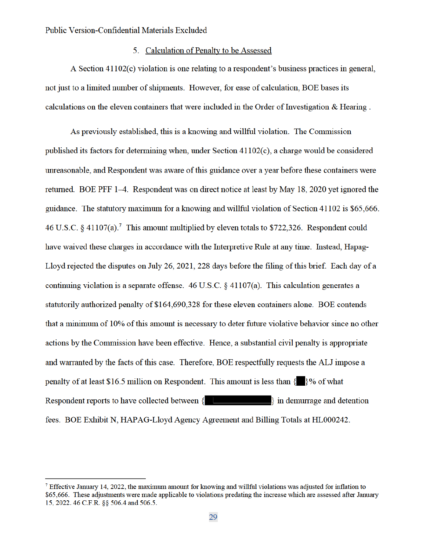## 5. Calculation of Penalty to be Assessed

A Section 41102(c) violation is one relating to a respondent's business practices in general, not just to a limited number of shipments. However, for ease of calculation, BOE bases its calculations on the eleven containers that were included in the Order of Investigation & Hearing.

As previously established, this is a knowing and willful violation. The Commission published its factors for determining when, under Section  $41102(c)$ , a charge would be considered unreasonable, and Respondent was aware of this guidance over a year before these containers were returned. BOE PFF 1–4. Respondent was on direct notice at least by May 18, 2020 yet ignored the guidance. The statutory maximum for a knowing and willful violation of Section 41102 is \$65,666. 46 U.S.C. § 41107(a).<sup>7</sup> This amount multiplied by eleven totals to \$722,326. Respondent could have waived these charges in accordance with the Interpretive Rule at any time. Instead, Hapag-Lloyd rejected the disputes on July 26, 2021, 228 days before the filing of this brief. Each day of a continuing violation is a separate offense.  $46$  U.S.C.  $\frac{6}{9}$  41107(a). This calculation generates a statutorily authorized penalty of \$164,690,328 for these eleven containers alone. BOE contends that a minimum of 10% of this amount is necessary to deter future violative behavior since no other actions by the Commission have been effective. Hence, a substantial civil penalty is appropriate and warranted by the facts of this case. Therefore, BOE respectfully requests the ALJ impose a penalty of at least \$16.5 million on Respondent. This amount is less than  $\{ \}$  % of what Respondent reports to have collected between  $\{$  $\}$  in demurrage and detention fees. BOE Exhibit N, HAPAG-Lloyd Agency Agreement and Billing Totals at HL000242.

<sup>&</sup>lt;sup>7</sup> Effective January 14, 2022, the maximum amount for knowing and willful violations was adjusted for inflation to \$65,666. These adjustments were made applicable to violations predating the increase which are assessed after January 15, 2022. 46 C.F.R. §§ 506.4 and 506.5.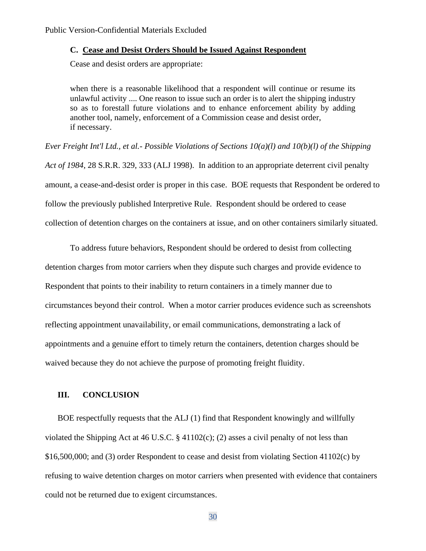#### **C. Cease and Desist Orders Should be Issued Against Respondent**

Cease and desist orders are appropriate:

when there is a reasonable likelihood that a respondent will continue or resume its unlawful activity .... One reason to issue such an order is to alert the shipping industry so as to forestall future violations and to enhance enforcement ability by adding another tool, namely, enforcement of a Commission cease and desist order, if necessary.

*Ever Freight Int'l Ltd., et al.- Possible Violations of Sections 10(a)(l) and 10(b)(l) of the Shipping Act of 1984*, 28 S.R.R. 329, 333 (ALJ 1998). In addition to an appropriate deterrent civil penalty amount, a cease-and-desist order is proper in this case. BOE requests that Respondent be ordered to follow the previously published Interpretive Rule. Respondent should be ordered to cease collection of detention charges on the containers at issue, and on other containers similarly situated.

To address future behaviors, Respondent should be ordered to desist from collecting detention charges from motor carriers when they dispute such charges and provide evidence to Respondent that points to their inability to return containers in a timely manner due to circumstances beyond their control. When a motor carrier produces evidence such as screenshots reflecting appointment unavailability, or email communications, demonstrating a lack of appointments and a genuine effort to timely return the containers, detention charges should be waived because they do not achieve the purpose of promoting freight fluidity.

#### **III. CONCLUSION**

BOE respectfully requests that the ALJ (1) find that Respondent knowingly and willfully violated the Shipping Act at 46 U.S.C.  $\S$  41102(c); (2) asses a civil penalty of not less than \$16,500,000; and (3) order Respondent to cease and desist from violating Section 41102(c) by refusing to waive detention charges on motor carriers when presented with evidence that containers could not be returned due to exigent circumstances.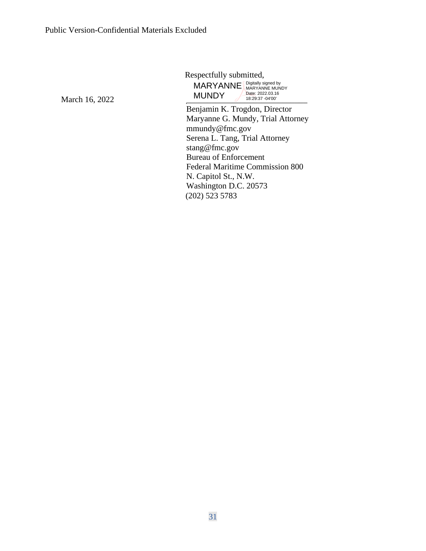Respectfully submitted, MARYANNE Digitally signed by **MUNDY** Date: 2022.03.16 18:29:37 -04'00'

Benjamin K. Trogdon, Director Maryanne G. Mundy, Trial Attorney mmundy@fmc.gov Serena L. Tang, Trial Attorney stang@fmc.gov Bureau of Enforcement Federal Maritime Commission 800 N. Capitol St., N.W. Washington D.C. 20573 (202) 523 5783

March 16, 2022